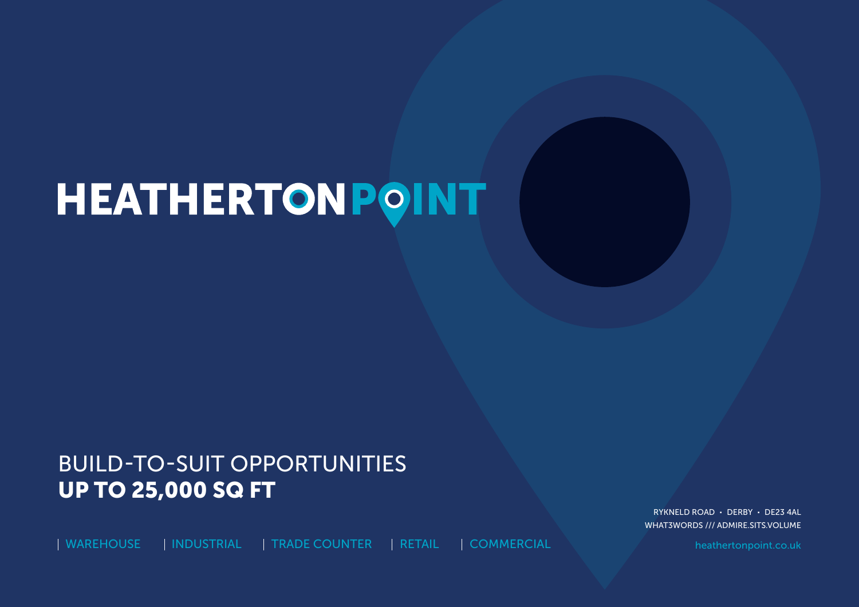# HEATHERTONPOINT

## BUILD-TO-SUIT OPPORTUNITIES UP TO 25,000 SQ FT

| WAREHOUSE | INDUSTRIAL | TRADE COUNTER | RETAIL | COMMERCIAL heathertonpoint.co.uk

RYKNELD ROAD · DERBY · DE23 4AL WHAT3WORDS /// ADMIRE.SITS.VOLUME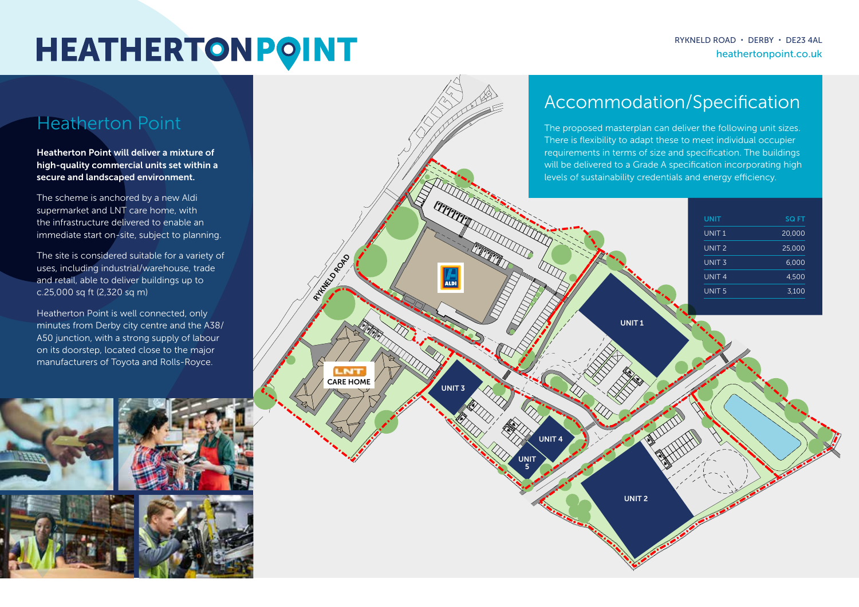## **HEATHERTONPOINT**

### Heatherton Point

Heatherton Point will deliver a mixture of high-quality commercial units set within a secure and landscaped environment.

The scheme is anchored by a new Aldi supermarket and LNT care home, with the infrastructure delivered to enable an immediate start on-site, subject to planning.

The site is considered suitable for a variety of uses, including industrial/warehouse, trade and retail, able to deliver buildings up to c.25,000 sq ft (2,320 sq m)

Heatherton Point is well connected, only minutes from Derby city centre and the A38/ A50 junction, with a strong supply of labour on its doorstep, located close to the major manufacturers of Toyota and Rolls-Royce.



## Accommodation/Specification

The proposed masterplan can deliver the following unit sizes. There is flexibility to adapt these to meet individual occupier requirements in terms of size and specification. The buildings will be delivered to a Grade A specification incorporating high

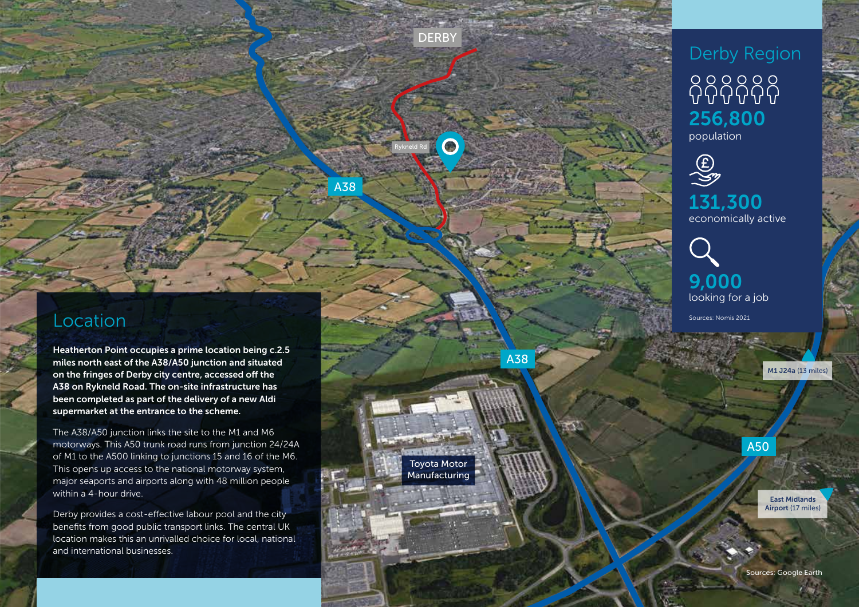### Location

Heatherton Point occupies a prime location being c.2.5 miles north east of the A38/A50 junction and situated on the fringes of Derby city centre, accessed off the A38 on Rykneld Road. The on-site infrastructure has been completed as part of the delivery of a new Aldi supermarket at the entrance to the scheme.

The A38/A50 junction links the site to the M1 and M6 motorways. This A50 trunk road runs from junction 24/24A of M1 to the A500 linking to junctions 15 and 16 of the M6. This opens up access to the national motorway system, major seaports and airports along with 48 million people within a 4-hour drive.

Derby provides a cost-effective labour pool and the city benefits from good public transport links. The central UK location makes this an unrivalled choice for local, national and international businesses.

## Derby Region 66666 256,800 population

**DERBY** 

 $\bullet$ 

Rykneld Rd

Toyota Motor Manufacturing A38

A38

 $\begin{matrix} \textcircled{f} \\ \textcircled{f} \end{matrix}$ 131,300 economically active

9,000 looking for a job

Sources: Nomis 2021

M1 J24a (13 miles)

A50

East Midlands Airport (17 miles)

Sources: Google Earth